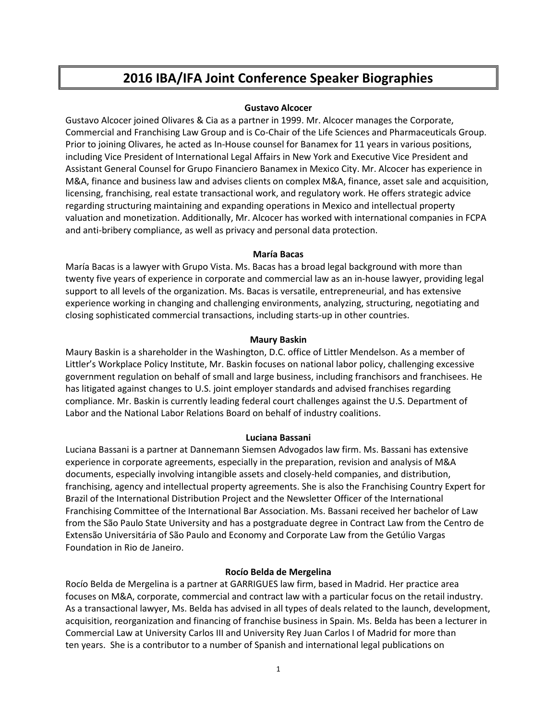# **2016 IBA/IFA Joint Conference Speaker Biographies**

# **Gustavo Alcocer**

Gustavo Alcocer joined Olivares & Cia as a partner in 1999. Mr. Alcocer manages the Corporate, Commercial and Franchising Law Group and is Co-Chair of the Life Sciences and Pharmaceuticals Group. Prior to joining Olivares, he acted as In-House counsel for Banamex for 11 years in various positions, including Vice President of International Legal Affairs in New York and Executive Vice President and Assistant General Counsel for Grupo Financiero Banamex in Mexico City. Mr. Alcocer has experience in M&A, finance and business law and advises clients on complex M&A, finance, asset sale and acquisition, licensing, franchising, real estate transactional work, and regulatory work. He offers strategic advice regarding structuring maintaining and expanding operations in Mexico and intellectual property valuation and monetization. Additionally, Mr. Alcocer has worked with international companies in FCPA and anti-bribery compliance, as well as privacy and personal data protection.

# **María Bacas**

María Bacas is a lawyer with Grupo Vista. Ms. Bacas has a broad legal background with more than twenty five years of experience in corporate and commercial law as an in-house lawyer, providing legal support to all levels of the organization. Ms. Bacas is versatile, entrepreneurial, and has extensive experience working in changing and challenging environments, analyzing, structuring, negotiating and closing sophisticated commercial transactions, including starts-up in other countries.

# **Maury Baskin**

Maury Baskin is a shareholder in the Washington, D.C. office of Littler Mendelson. As a member of Littler's Workplace Policy Institute, Mr. Baskin focuses on national labor policy, challenging excessive government regulation on behalf of small and large business, including franchisors and franchisees. He has litigated against changes to U.S. joint employer standards and advised franchises regarding compliance. Mr. Baskin is currently leading federal court challenges against the U.S. Department of Labor and the National Labor Relations Board on behalf of industry coalitions.

# **Luciana Bassani**

Luciana Bassani is a partner at Dannemann Siemsen Advogados law firm. Ms. Bassani has extensive experience in corporate agreements, especially in the preparation, revision and analysis of M&A documents, especially involving intangible assets and closely-held companies, and distribution, franchising, agency and intellectual property agreements. She is also the Franchising Country Expert for Brazil of the International Distribution Project and the Newsletter Officer of the International Franchising Committee of the International Bar Association. Ms. Bassani received her bachelor of Law from the São Paulo State University and has a postgraduate degree in Contract Law from the Centro de Extensão Universitária of São Paulo and Economy and Corporate Law from the Getúlio Vargas Foundation in Rio de Janeiro.

# **Rocío Belda de Mergelina**

Rocío Belda de Mergelina is a partner at GARRIGUES law firm, based in Madrid. Her practice area focuses on M&A, corporate, commercial and contract law with a particular focus on the retail industry. As a transactional lawyer, Ms. Belda has advised in all types of deals related to the launch, development, acquisition, reorganization and financing of franchise business in Spain. Ms. Belda has been a lecturer in Commercial Law at University Carlos III and University Rey Juan Carlos I of Madrid for more than ten years. She is a contributor to a number of Spanish and international legal publications on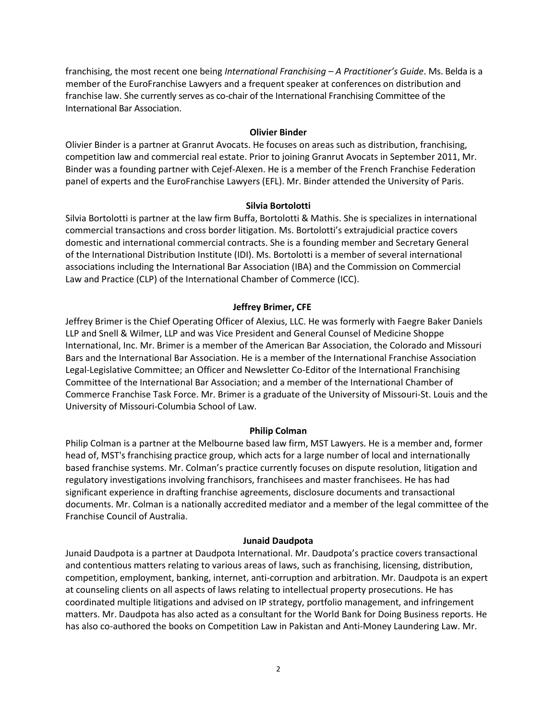franchising, the most recent one being *International Franchising – A Practitioner's Guide*. Ms. Belda is a member of the EuroFranchise Lawyers and a frequent speaker at conferences on distribution and franchise law. She currently serves as co-chair of the International Franchising Committee of the International Bar Association.

#### **Olivier Binder**

Olivier Binder is a partner at Granrut Avocats. He focuses on areas such as distribution, franchising, competition law and commercial real estate. Prior to joining Granrut Avocats in September 2011, Mr. Binder was a founding partner with Cejef-Alexen. He is a member of the French Franchise Federation panel of experts and the EuroFranchise Lawyers (EFL). Mr. Binder attended the University of Paris.

#### **Silvia Bortolotti**

Silvia Bortolotti is partner at the law firm Buffa, Bortolotti & Mathis. She is specializes in international commercial transactions and cross border litigation. Ms. Bortolotti's extrajudicial practice covers domestic and international commercial contracts. She is a founding member and Secretary General of the International Distribution Institute (IDI). Ms. Bortolotti is a member of several international associations including the International Bar Association (IBA) and the Commission on Commercial Law and Practice (CLP) of the International Chamber of Commerce (ICC).

#### **Jeffrey Brimer, CFE**

Jeffrey Brimer is the Chief Operating Officer of Alexius, LLC. He was formerly with Faegre Baker Daniels LLP and Snell & Wilmer, LLP and was Vice President and General Counsel of Medicine Shoppe International, Inc. Mr. Brimer is a member of the American Bar Association, the Colorado and Missouri Bars and the International Bar Association. He is a member of the International Franchise Association Legal-Legislative Committee; an Officer and Newsletter Co-Editor of the International Franchising Committee of the International Bar Association; and a member of the International Chamber of Commerce Franchise Task Force. Mr. Brimer is a graduate of the University of Missouri-St. Louis and the University of Missouri-Columbia School of Law.

#### **Philip Colman**

Philip Colman is a partner at the Melbourne based law firm, MST Lawyers. He is a member and, former head of, MST's franchising practice group, which acts for a large number of local and internationally based franchise systems. Mr. Colman's practice currently focuses on dispute resolution, litigation and regulatory investigations involving franchisors, franchisees and master franchisees. He has had significant experience in drafting franchise agreements, disclosure documents and transactional documents. Mr. Colman is a nationally accredited mediator and a member of the legal committee of the Franchise Council of Australia.

#### **Junaid Daudpota**

Junaid Daudpota is a partner at Daudpota International. Mr. Daudpota's practice covers transactional and contentious matters relating to various areas of laws, such as franchising, licensing, distribution, competition, employment, banking, internet, anti-corruption and arbitration. Mr. Daudpota is an expert at counseling clients on all aspects of laws relating to intellectual property prosecutions. He has coordinated multiple litigations and advised on IP strategy, portfolio management, and infringement matters. Mr. Daudpota has also acted as a consultant for the World Bank for Doing Business reports. He has also co-authored the books on Competition Law in Pakistan and Anti-Money Laundering Law. Mr.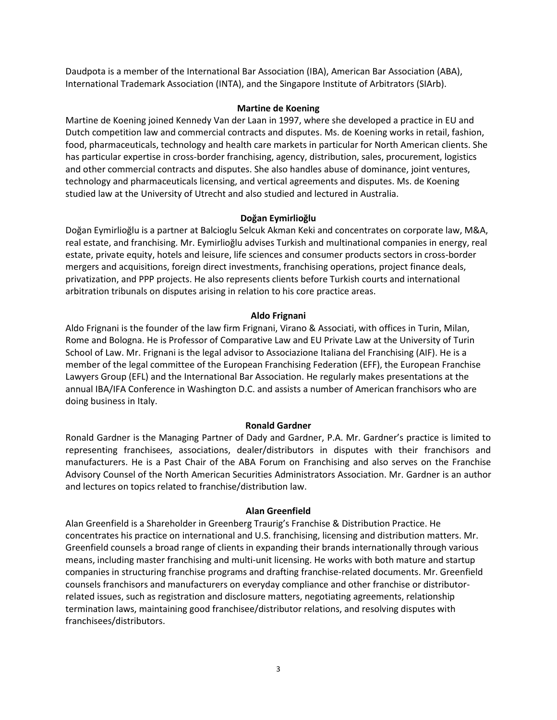Daudpota is a member of the International Bar Association (IBA), American Bar Association (ABA), International Trademark Association (INTA), and the Singapore Institute of Arbitrators (SIArb).

## **Martine de Koening**

Martine de Koening joined Kennedy Van der Laan in 1997, where she developed a practice i[n EU and](http://kvdl.nl/en/our-specialisms/competition/)  [Dutch competition law](http://kvdl.nl/en/our-specialisms/competition/) and commercial contracts and disputes. Ms. de Koening works in retail, fashion, food, pharmaceuticals, technology and health care markets in particular for North American clients. She has particular expertise in cross-border franchising, agency, distribution, sales, procurement, logistics and other commercial contracts and disputes. She also handles abuse of dominance, joint ventures, technology and pharmaceuticals licensing, and vertical agreements and disputes. Ms. de Koening studied law at the University of Utrecht and also studied and lectured in Australia.

# **Doğan Eymirlioğlu**

Doğan Eymirlioğlu is a partner at Balcioglu Selcuk Akman Keki and concentrates on corporate law, M&A, real estate, and franchising. Mr. Eymirlioğlu advises Turkish and multinational companies in energy, real estate, private equity, hotels and leisure, life sciences and consumer products sectors in cross-border mergers and acquisitions, foreign direct investments, franchising operations, project finance deals, privatization, and PPP projects. He also represents clients before Turkish courts and international arbitration tribunals on disputes arising in relation to his core practice areas.

# **Aldo Frignani**

Aldo Frignani is the founder of the law firm Frignani, Virano & Associati, with offices in Turin, Milan, Rome and Bologna. He is Professor of Comparative Law and EU Private Law at the University of Turin School of Law. Mr. Frignani is the legal advisor to Associazione Italiana del Franchising (AIF). He is a member of the legal committee of the European Franchising Federation (EFF), the European Franchise Lawyers Group (EFL) and the International Bar Association. He regularly makes presentations at the annual IBA/IFA Conference in Washington D.C. and assists a number of American franchisors who are doing business in Italy.

## **Ronald Gardner**

Ronald Gardner is the Managing Partner of Dady and Gardner, P.A. Mr. Gardner's practice is limited to representing franchisees, associations, dealer/distributors in disputes with their franchisors and manufacturers. He is a Past Chair of the ABA Forum on Franchising and also serves on the Franchise Advisory Counsel of the North American Securities Administrators Association. Mr. Gardner is an author and lectures on topics related to franchise/distribution law.

## **Alan Greenfield**

Alan Greenfield is a Shareholder in Greenberg Traurig's Franchise & Distribution Practice. He concentrates his practice on international and U.S. franchising, licensing and distribution matters. Mr. Greenfield counsels a broad range of clients in expanding their brands internationally through various means, including master franchising and multi-unit licensing. He works with both mature and startup companies in structuring franchise programs and drafting franchise-related documents. Mr. Greenfield counsels franchisors and manufacturers on everyday compliance and other franchise or distributorrelated issues, such as registration and disclosure matters, negotiating agreements, relationship termination laws, maintaining good franchisee/distributor relations, and resolving disputes with franchisees/distributors.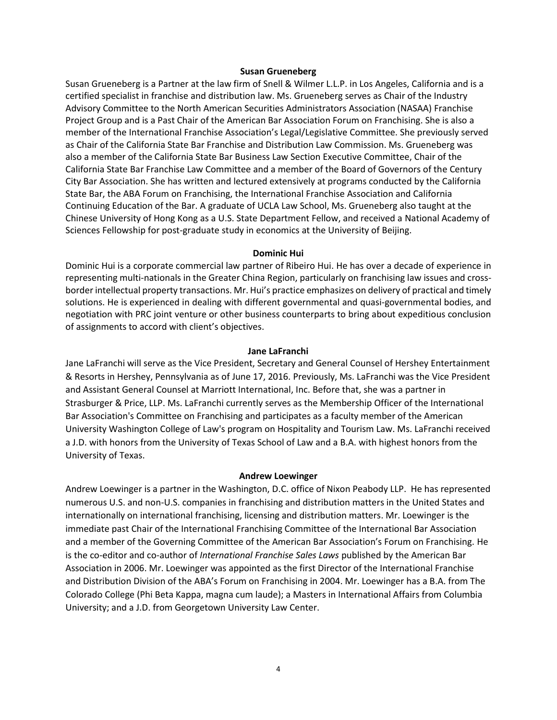#### **Susan Grueneberg**

Susan Grueneberg is a Partner at the law firm of Snell & Wilmer L.L.P. in Los Angeles, California and is a certified specialist in franchise and distribution law. Ms. Grueneberg serves as Chair of the Industry Advisory Committee to the North American Securities Administrators Association (NASAA) Franchise Project Group and is a Past Chair of the American Bar Association Forum on Franchising. She is also a member of the International Franchise Association's Legal/Legislative Committee. She previously served as Chair of the California State Bar Franchise and Distribution Law Commission. Ms. Grueneberg was also a member of the California State Bar Business Law Section Executive Committee, Chair of the California State Bar Franchise Law Committee and a member of the Board of Governors of the Century City Bar Association. She has written and lectured extensively at programs conducted by the California State Bar, the ABA Forum on Franchising, the International Franchise Association and California Continuing Education of the Bar. A graduate of UCLA Law School, Ms. Grueneberg also taught at the Chinese University of Hong Kong as a U.S. State Department Fellow, and received a National Academy of Sciences Fellowship for post-graduate study in economics at the University of Beijing.

#### **Dominic Hui**

Dominic Hui is a corporate commercial law partner of Ribeiro Hui. He has over a decade of experience in representing multi-nationals in the Greater China Region, particularly on franchising law issues and crossborder intellectual property transactions. Mr. Hui's practice emphasizes on delivery of practical and timely solutions. He is experienced in dealing with different governmental and quasi-governmental bodies, and negotiation with PRC joint venture or other business counterparts to bring about expeditious conclusion of assignments to accord with client's objectives.

#### **Jane LaFranchi**

Jane LaFranchi will serve as the Vice President, Secretary and General Counsel of Hershey Entertainment & Resorts in Hershey, Pennsylvania as of June 17, 2016. Previously, Ms. LaFranchi was the Vice President and Assistant General Counsel at Marriott International, Inc. Before that, she was a partner in Strasburger & Price, LLP. Ms. LaFranchi currently serves as the Membership Officer of the International Bar Association's Committee on Franchising and participates as a faculty member of the American University Washington College of Law's program on Hospitality and Tourism Law. Ms. LaFranchi received a J.D. with honors from the University of Texas School of Law and a B.A. with highest honors from the University of Texas.

#### **Andrew Loewinger**

Andrew Loewinger is a partner in the Washington, D.C. office of Nixon Peabody LLP. He has represented numerous U.S. and non-U.S. companies in franchising and distribution matters in the United States and internationally on international franchising, licensing and distribution matters. Mr. Loewinger is the immediate past Chair of the International Franchising Committee of the International Bar Association and a member of the Governing Committee of the American Bar Association's Forum on Franchising. He is the co-editor and co-author of *International Franchise Sales Laws* published by the American Bar Association in 2006. Mr. Loewinger was appointed as the first Director of the International Franchise and Distribution Division of the ABA's Forum on Franchising in 2004. Mr. Loewinger has a B.A. from The Colorado College (Phi Beta Kappa, magna cum laude); a Masters in International Affairs from Columbia University; and a J.D. from Georgetown University Law Center.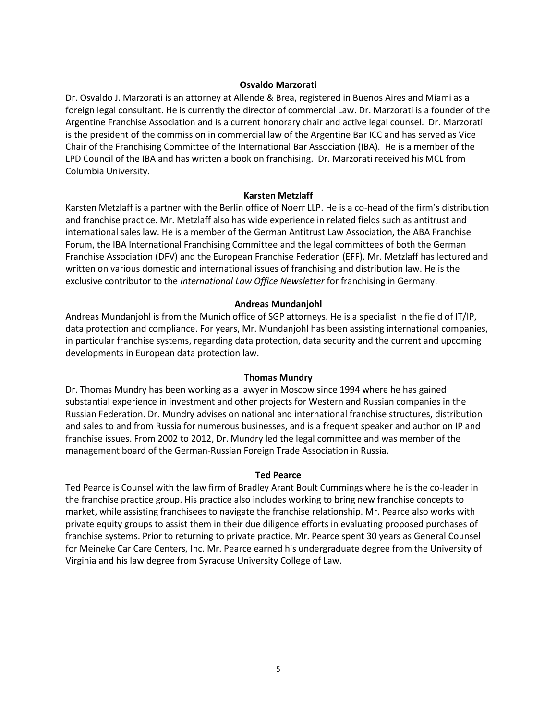# **Osvaldo Marzorati**

Dr. Osvaldo J. Marzorati is an attorney at Allende & Brea, registered in Buenos Aires and Miami as a foreign legal consultant. He is currently the director of commercial Law. Dr. Marzorati is a founder of the Argentine Franchise Association and is a current honorary chair and active legal counsel. Dr. Marzorati is the president of the commission in commercial law of the Argentine Bar ICC and has served as Vice Chair of the Franchising Committee of the International Bar Association (IBA). He is a member of the LPD Council of the IBA and has written a book on franchising. Dr. Marzorati received his MCL from Columbia University.

## **Karsten Metzlaff**

Karsten Metzlaff is a partner with the Berlin office of Noerr LLP. He is a co-head of the firm's distribution and franchise practice. Mr. Metzlaff also has wide experience in related fields such as antitrust and international sales law. He is a member of the German Antitrust Law Association, the ABA Franchise Forum, the IBA International Franchising Committee and the legal committees of both the German Franchise Association (DFV) and the European Franchise Federation (EFF). Mr. Metzlaff has lectured and written on various domestic and international issues of franchising and distribution law. He is the exclusive contributor to the *International Law Office Newsletter* for franchising in Germany.

# **Andreas Mundanjohl**

Andreas Mundanjohl is from the Munich office of SGP attorneys. He is a specialist in the field of IT/IP, data protection and compliance. For years, Mr. Mundanjohl has been assisting international companies, in particular franchise systems, regarding data protection, data security and the current and upcoming developments in European data protection law.

## **Thomas Mundry**

Dr. Thomas Mundry has been working as a lawyer in Moscow since 1994 where he has gained substantial experience in investment and other projects for Western and Russian companies in the Russian Federation. Dr. Mundry advises on national and international franchise structures, distribution and sales to and from Russia for numerous businesses, and is a frequent speaker and author on IP and franchise issues. From 2002 to 2012, Dr. Mundry led the legal committee and was member of the management board of the German-Russian Foreign Trade Association in Russia.

## **Ted Pearce**

Ted Pearce is Counsel with the law firm of Bradley Arant Boult Cummings where he is the co-leader in the franchise practice group. His practice also includes working to bring new franchise concepts to market, while assisting franchisees to navigate the franchise relationship. Mr. Pearce also works with private equity groups to assist them in their due diligence efforts in evaluating proposed purchases of franchise systems. Prior to returning to private practice, Mr. Pearce spent 30 years as General Counsel for Meineke Car Care Centers, Inc. Mr. Pearce earned his undergraduate degree from the University of Virginia and his law degree from Syracuse University College of Law.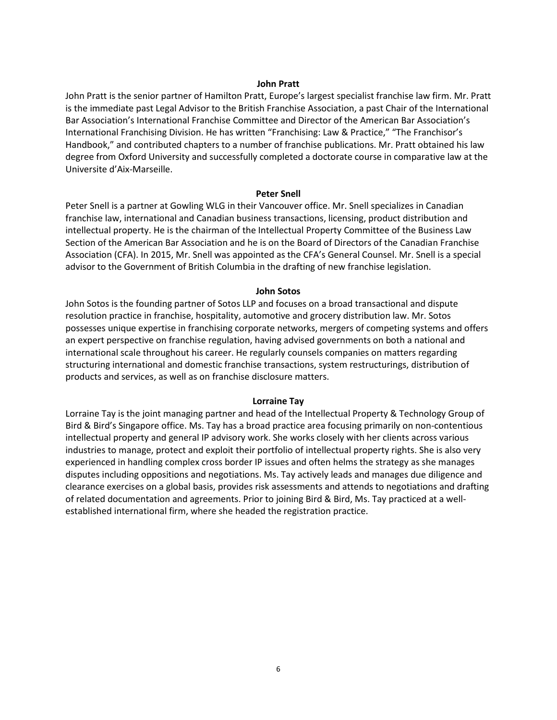#### **John Pratt**

John Pratt is the senior partner of Hamilton Pratt, Europe's largest specialist franchise law firm. Mr. Pratt is the immediate past Legal Advisor to the British Franchise Association, a past Chair of the International Bar Association's International Franchise Committee and Director of the American Bar Association's International Franchising Division. He has written "Franchising: Law & Practice," "The Franchisor's Handbook," and contributed chapters to a number of franchise publications. Mr. Pratt obtained his law degree from Oxford University and successfully completed a doctorate course in comparative law at the Universite d'Aix-Marseille.

#### **Peter Snell**

Peter Snell is a partner at Gowling WLG in their Vancouver office. Mr. Snell specializes in Canadian franchise law, international and Canadian business transactions, licensing, product distribution and intellectual property. He is the chairman of the Intellectual Property Committee of the Business Law Section of the American Bar Association and he is on the Board of Directors of the Canadian Franchise Association (CFA). In 2015, Mr. Snell was appointed as the CFA's General Counsel. Mr. Snell is a special advisor to the Government of British Columbia in the drafting of new franchise legislation.

#### **John Sotos**

John Sotos is the founding partner of Sotos LLP and focuses on a broad transactional and dispute resolution practice in franchise, hospitality, automotive and grocery distribution law. Mr. Sotos possesses unique expertise in franchising corporate networks, mergers of competing systems and offers an expert perspective on franchise regulation, having advised governments on both a national and international scale throughout his career. He regularly counsels companies on matters regarding structuring international and domestic franchise transactions, system restructurings, distribution of products and services, as well as on franchise disclosure matters.

#### **Lorraine Tay**

Lorraine Tay is the joint managing partner and head of the Intellectual Property & Technology Group of Bird & Bird's Singapore office. Ms. Tay has a broad practice area focusing primarily on non-contentious intellectual property and general IP advisory work. She works closely with her clients across various industries to manage, protect and exploit their portfolio of intellectual property rights. She is also very experienced in handling complex cross border IP issues and often helms the strategy as she manages disputes including oppositions and negotiations. Ms. Tay actively leads and manages due diligence and clearance exercises on a global basis, provides risk assessments and attends to negotiations and drafting of related documentation and agreements. Prior to joining Bird & Bird, Ms. Tay practiced at a wellestablished international firm, where she headed the registration practice.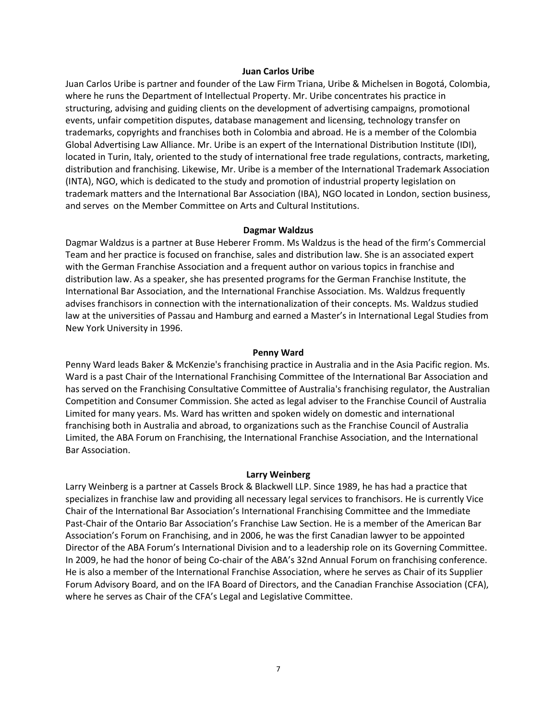#### **Juan Carlos Uribe**

Juan Carlos Uribe is partner and founder of the Law Firm Triana, Uribe & Michelsen in Bogotá, Colombia, where he runs the Department of Intellectual Property. Mr. Uribe concentrates his practice in structuring, advising and guiding clients on the development of advertising campaigns, promotional events, unfair competition disputes, database management and licensing, technology transfer on trademarks, copyrights and franchises both in Colombia and abroad. He is a member of the Colombia Global Advertising Law Alliance. Mr. Uribe is an expert of the International Distribution Institute (IDI), located in Turin, Italy, oriented to the study of international free trade regulations, contracts, marketing, distribution and franchising. Likewise, Mr. Uribe is a member of the International Trademark Association (INTA), NGO, which is dedicated to the study and promotion of industrial property legislation on trademark matters and the International Bar Association (IBA), NGO located in London, section business, and serves on the Member Committee on Arts and Cultural Institutions.

#### **Dagmar Waldzus**

Dagmar Waldzus is a partner at Buse Heberer Fromm. Ms Waldzus is the head of the firm's Commercial Team and her practice is focused on franchise, sales and distribution law. She is an associated expert with the German Franchise Association and a frequent author on various topics in franchise and distribution law. As a speaker, she has presented programs for the German Franchise Institute, the International Bar Association, and the International Franchise Association. Ms. Waldzus frequently advises franchisors in connection with the internationalization of their concepts. Ms. Waldzus studied law at the universities of Passau and Hamburg and earned a Master's in International Legal Studies from New York University in 1996.

#### **Penny Ward**

Penny Ward leads Baker & McKenzie's franchising practice in Australia and in the Asia Pacific region. Ms. Ward is a past Chair of the International Franchising Committee of the International Bar Association and has served on the Franchising Consultative Committee of Australia's franchising regulator, the Australian Competition and Consumer Commission. She acted as legal adviser to the Franchise Council of Australia Limited for many years. Ms. Ward has written and spoken widely on domestic and international franchising both in Australia and abroad, to organizations such as the Franchise Council of Australia Limited, the ABA Forum on Franchising, the International Franchise Association, and the International Bar Association.

#### **Larry Weinberg**

Larry Weinberg is a partner at Cassels Brock & Blackwell LLP. Since 1989, he has had a practice that specializes in franchise law and providing all necessary legal services to franchisors. He is currently Vice Chair of the International Bar Association's International Franchising Committee and the Immediate Past-Chair of the Ontario Bar Association's Franchise Law Section. He is a member of the American Bar Association's Forum on Franchising, and in 2006, he was the first Canadian lawyer to be appointed Director of the ABA Forum's International Division and to a leadership role on its Governing Committee. In 2009, he had the honor of being Co-chair of the ABA's 32nd Annual Forum on franchising conference. He is also a member of the International Franchise Association, where he serves as Chair of its Supplier Forum Advisory Board, and on the IFA Board of Directors, and the Canadian Franchise Association (CFA), where he serves as Chair of the CFA's Legal and Legislative Committee.